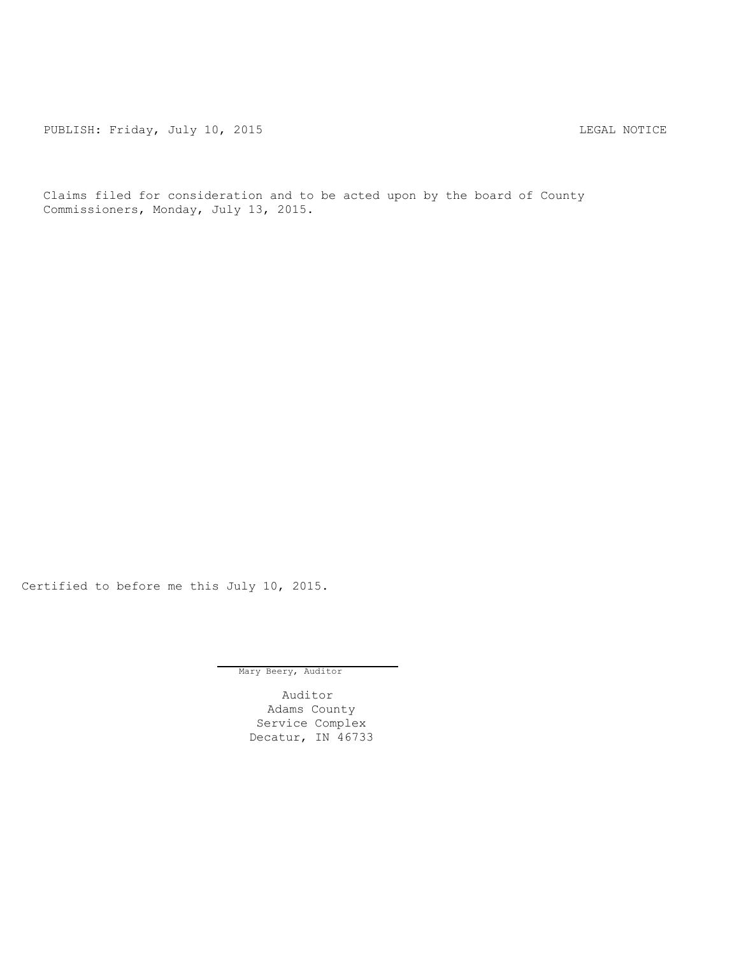PUBLISH: Friday, July 10, 2015 2008 2008 2009 2010 2021 2030 2041 2050 2061 2071 2082

Claims filed for consideration and to be acted upon by the board of County Commissioners, Monday, July 13, 2015.

Certified to before me this July 10, 2015.

Mary Beery, Auditor

Auditor Adams County Service Complex Decatur, IN 46733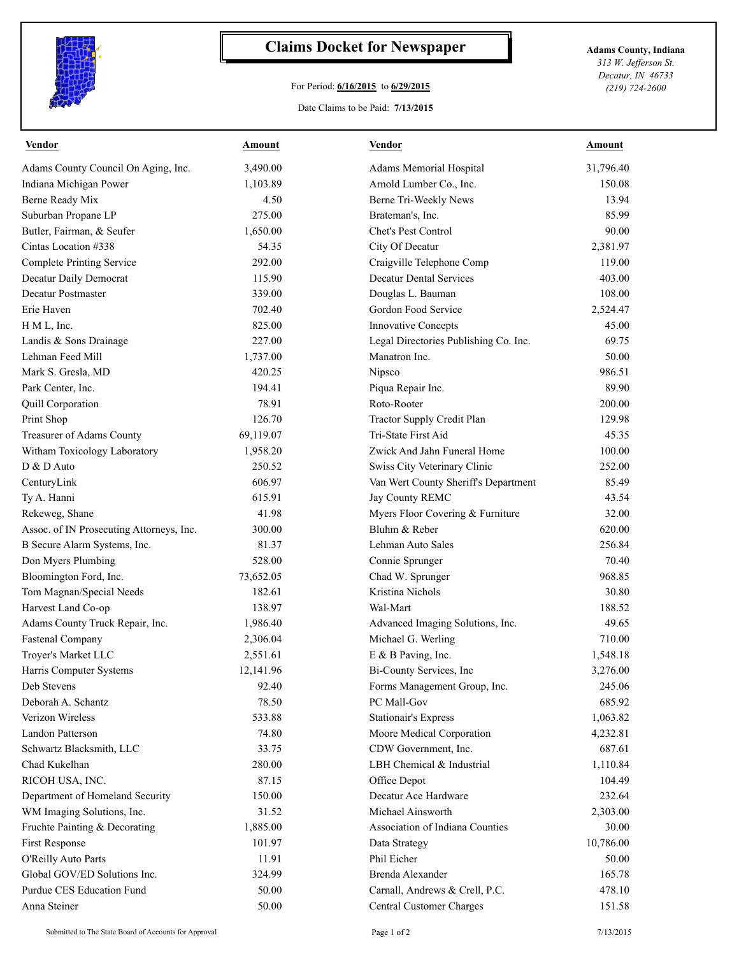

## **Claims Docket for Newspaper Adams County, Indiana**

## For Period: **6/16/2015** to **6/29/2015**

*313 W. Jefferson St. Decatur, IN 46733 (219) 724-2600*

## Date Claims to be Paid: **7/13/2015**

| <b>Vendor</b>                            | <u>Amount</u> | <b>Vendor</b>                               | <b>Amount</b> |
|------------------------------------------|---------------|---------------------------------------------|---------------|
| Adams County Council On Aging, Inc.      | 3,490.00      | Adams Memorial Hospital                     | 31,796.40     |
| Indiana Michigan Power                   | 1,103.89      | Arnold Lumber Co., Inc.                     | 150.08        |
| Berne Ready Mix                          | 4.50          | Berne Tri-Weekly News                       | 13.94         |
| Suburban Propane LP                      | 275.00        | Brateman's, Inc.                            | 85.99         |
| Butler, Fairman, & Seufer                | 1,650.00      | Chet's Pest Control                         | 90.00         |
| Cintas Location #338                     | 54.35         | City Of Decatur                             | 2,381.97      |
| <b>Complete Printing Service</b>         | 292.00        | Craigville Telephone Comp                   | 119.00        |
| Decatur Daily Democrat                   | 115.90        | <b>Decatur Dental Services</b>              | 403.00        |
| <b>Decatur Postmaster</b>                | 339.00        | Douglas L. Bauman                           | 108.00        |
| Erie Haven                               | 702.40        | Gordon Food Service                         | 2,524.47      |
| H M L, Inc.                              | 825.00        | <b>Innovative Concepts</b>                  | 45.00         |
| Landis & Sons Drainage                   | 227.00        | Legal Directories Publishing Co. Inc.       | 69.75         |
| Lehman Feed Mill                         | 1,737.00      | Manatron Inc.                               | 50.00         |
| Mark S. Gresla, MD                       | 420.25        | Nipsco                                      | 986.51        |
| Park Center, Inc.                        | 194.41        | Piqua Repair Inc.                           | 89.90         |
| Quill Corporation                        | 78.91         | Roto-Rooter                                 | 200.00        |
| Print Shop                               | 126.70        | Tractor Supply Credit Plan                  | 129.98        |
| Treasurer of Adams County                | 69,119.07     | Tri-State First Aid                         | 45.35         |
| Witham Toxicology Laboratory             | 1,958.20      | Zwick And Jahn Funeral Home                 | 100.00        |
| D & D Auto                               | 250.52        | Swiss City Veterinary Clinic                | 252.00        |
| CenturyLink                              | 606.97        | Van Wert County Sheriff's Department        | 85.49         |
| Ty A. Hanni                              | 615.91        | Jay County REMC                             | 43.54         |
| Rekeweg, Shane                           | 41.98         | Myers Floor Covering & Furniture            | 32.00         |
| Assoc. of IN Prosecuting Attorneys, Inc. | 300.00        | Bluhm & Reber                               | 620.00        |
| B Secure Alarm Systems, Inc.             | 81.37         | Lehman Auto Sales                           | 256.84        |
| Don Myers Plumbing                       | 528.00        | Connie Sprunger                             | 70.40         |
| Bloomington Ford, Inc.                   | 73,652.05     | Chad W. Sprunger                            | 968.85        |
| Tom Magnan/Special Needs                 | 182.61        | Kristina Nichols                            | 30.80         |
| Harvest Land Co-op                       | 138.97        | Wal-Mart                                    | 188.52        |
| Adams County Truck Repair, Inc.          | 1,986.40      | Advanced Imaging Solutions, Inc.            | 49.65         |
| <b>Fastenal Company</b>                  | 2,306.04      | Michael G. Werling                          | 710.00        |
| Troyer's Market LLC                      | 2,551.61      | E & B Paving, Inc.                          | 1,548.18      |
|                                          | 12,141.96     |                                             |               |
| Harris Computer Systems                  | 92.40         | Bi-County Services, Inc.                    | 3,276.00      |
| Deb Stevens<br>Deborah A. Schantz        |               | Forms Management Group, Inc.<br>PC Mall-Gov | 245.06        |
|                                          | 78.50         |                                             | 685.92        |
| Verizon Wireless                         | 533.88        | Stationair's Express                        | 1,063.82      |
| Landon Patterson                         | 74.80         | Moore Medical Corporation                   | 4,232.81      |
| Schwartz Blacksmith, LLC                 | 33.75         | CDW Government, Inc.                        | 687.61        |
| Chad Kukelhan                            | 280.00        | LBH Chemical & Industrial                   | 1,110.84      |
| RICOH USA, INC.                          | 87.15         | Office Depot                                | 104.49        |
| Department of Homeland Security          | 150.00        | Decatur Ace Hardware                        | 232.64        |
| WM Imaging Solutions, Inc.               | 31.52         | Michael Ainsworth                           | 2,303.00      |
| Fruchte Painting & Decorating            | 1,885.00      | Association of Indiana Counties             | 30.00         |
| First Response                           | 101.97        | Data Strategy                               | 10,786.00     |
| O'Reilly Auto Parts                      | 11.91         | Phil Eicher                                 | 50.00         |
| Global GOV/ED Solutions Inc.             | 324.99        | Brenda Alexander                            | 165.78        |
| Purdue CES Education Fund                | 50.00         | Carnall, Andrews & Crell, P.C.              | 478.10        |
| Anna Steiner                             | 50.00         | <b>Central Customer Charges</b>             | 151.58        |